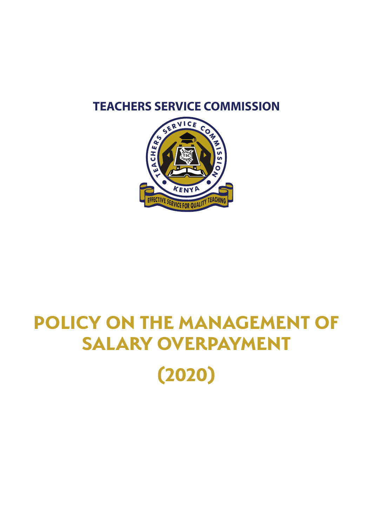### **TEACHERS SERVICE COMMISSION**



# **POLICY ON THE MANAGEMENT OF SALARY OVERPAYMENT (2020)**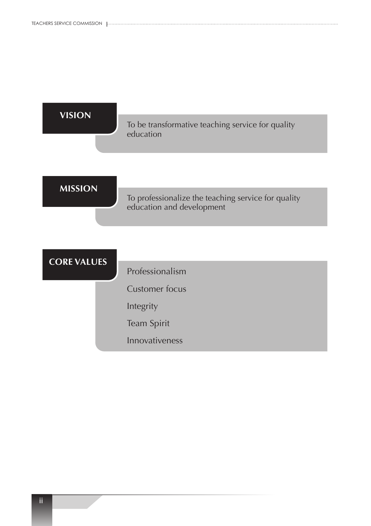| <b>VISION</b>      |                                                                                  |
|--------------------|----------------------------------------------------------------------------------|
|                    | To be transformative teaching service for quality<br>education                   |
|                    |                                                                                  |
| <b>MISSION</b>     | To professionalize the teaching service for quality<br>education and development |
|                    |                                                                                  |
| <b>CORE VALUES</b> |                                                                                  |
|                    | Professionalism                                                                  |
|                    | <b>Customer focus</b>                                                            |
|                    | Integrity                                                                        |
|                    | Team Spirit                                                                      |
|                    | Innovativeness                                                                   |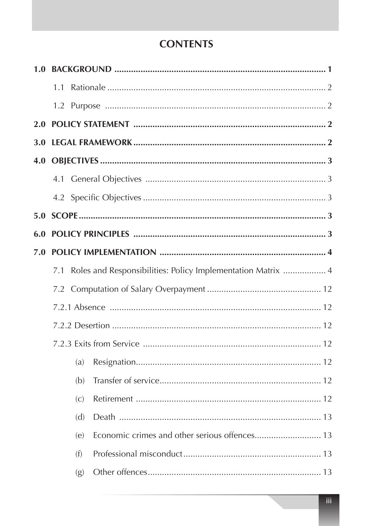### **CONTENTS**

|            | 1.1 |     |                                                             |  |
|------------|-----|-----|-------------------------------------------------------------|--|
|            |     |     |                                                             |  |
| 2.0        |     |     |                                                             |  |
| <b>3.0</b> |     |     |                                                             |  |
| 4.0        |     |     |                                                             |  |
|            |     |     |                                                             |  |
|            |     |     |                                                             |  |
|            |     |     |                                                             |  |
| 6.0        |     |     |                                                             |  |
| 7.0        |     |     |                                                             |  |
|            | 7.1 |     | Roles and Responsibilities: Policy Implementation Matrix  4 |  |
|            |     |     |                                                             |  |
|            |     |     |                                                             |  |
|            |     |     |                                                             |  |
|            |     |     |                                                             |  |
|            |     | (a) |                                                             |  |
|            |     | (b) |                                                             |  |
|            |     | (c) |                                                             |  |
|            |     | (d) |                                                             |  |
|            |     | (e) |                                                             |  |
|            |     | (f) |                                                             |  |
|            |     | (g) |                                                             |  |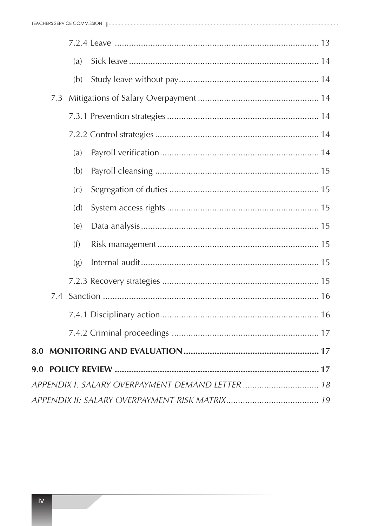|               |     | (a) |                                                  |
|---------------|-----|-----|--------------------------------------------------|
|               |     | (b) |                                                  |
|               | 7.3 |     |                                                  |
|               |     |     |                                                  |
|               |     |     |                                                  |
|               |     | (a) |                                                  |
|               |     | (b) |                                                  |
|               |     | (c) |                                                  |
|               |     | (d) |                                                  |
|               |     | (e) |                                                  |
|               |     | (f) |                                                  |
|               |     | (g) |                                                  |
|               |     |     |                                                  |
|               | 7.4 |     |                                                  |
|               |     |     |                                                  |
|               |     |     |                                                  |
| 8.0           |     |     |                                                  |
| $9.0^{\circ}$ |     |     |                                                  |
|               |     |     | APPENDIX I: SALARY OVERPAYMENT DEMAND LETTER  18 |
|               |     |     |                                                  |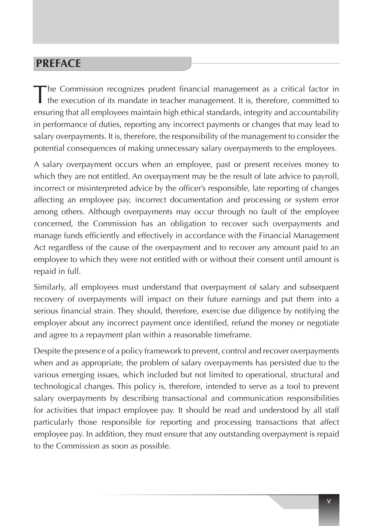### **PREFACE**

The Commission recognizes prudent financial management as <sup>a</sup> critical factor in the execution of its mandate in teacher management. It is, therefore, committed to ensuring that all employees maintain high ethical standards, integrity and accountability in performance of duties, reporting any incorrect payments or changes that may lead to salary overpayments. It is, therefore, the responsibility of the management to consider the potential consequences of making unnecessary salary overpayments to the employees.

A salary overpayment occurs when an employee, past or present receives money to which they are not entitled. An overpayment may be the result of late advice to payroll, incorrect or misinterpreted advice by the officer's responsible, late reporting of changes affecting an employee pay, incorrect documentation and processing or system error among others. Although overpayments may occur through no fault of the employee concerned, the Commission has an obligation to recover such overpayments and manage funds efficiently and effectively in accordance with the Financial Management Act regardless of the cause of the overpayment and to recover any amount paid to an employee to which they were not entitled with or without their consent until amount is repaid in full.

Similarly, all employees must understand that overpayment of salary and subsequent recovery of overpayments will impact on their future earnings and put them into a serious financial strain. They should, therefore, exercise due diligence by notifying the employer about any incorrect payment once identified, refund the money or negotiate and agree to a repayment plan within a reasonable timeframe.

Despite the presence of a policy framework to prevent, control and recover overpayments when and as appropriate, the problem of salary overpayments has persisted due to the various emerging issues, which included but not limited to operational, structural and technological changes. This policy is, therefore, intended to serve as a tool to prevent salary overpayments by describing transactional and communication responsibilities for activities that impact employee pay. It should be read and understood by all staff particularly those responsible for reporting and processing transactions that affect employee pay. In addition, they must ensure that any outstanding overpayment is repaid to the Commission as soon as possible.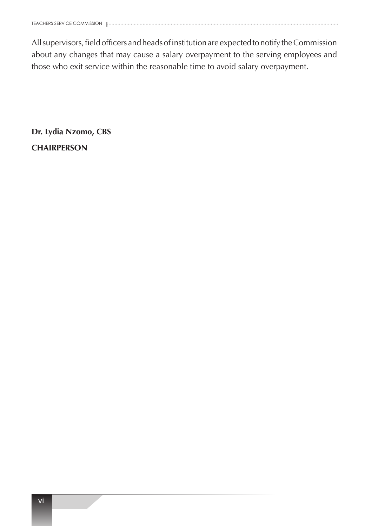Allsupervisors,fieldofficers andheadsofinstitutionare expectedtonotify theCommission about any changes that may cause a salary overpayment to the serving employees and those who exit service within the reasonable time to avoid salary overpayment.

**Dr. Lydia Nzomo, CBS CHAIRPERSON**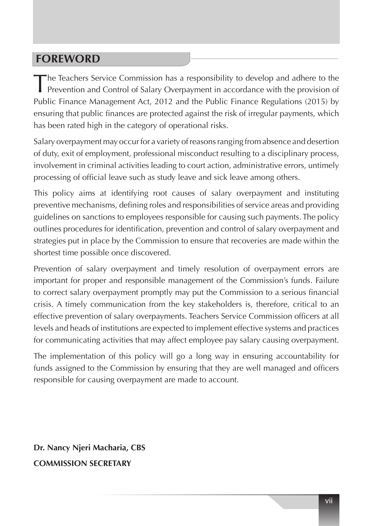### **FOREWORD**

The Teachers Service Commission has a responsibility to develop and adhere to the Prevention and Control of Salary Overpayment in accordance with the provision of Public Finance Management Act, 2012 and the Public Finance Regulations (2015) by ensuring that public finances are protected against the risk of irregular payments, which has been rated high in the category of operational risks.

Salary overpayment may occur for a variety of reasons ranging from absence and desertion of duty, exit of employment, professional misconduct resulting to a disciplinary process, involvement in criminal activities leading to court action, administrative errors, untimely processing of official leave such as study leave and sick leave among others.

This policy aims at identifying root causes of salary overpayment and instituting preventive mechanisms, defining roles and responsibilities of service areas and providing guidelines on sanctions to employees responsible for causing such payments. The policy outlines procedures for identification, prevention and control of salary overpayment and strategies put in place by the Commission to ensure that recoveries are made within the shortest time possible once discovered.

Prevention of salary overpayment and timely resolution of overpayment errors are important for proper and responsible management of the Commission's funds. Failure to correct salary overpayment promptly may put the Commission to a serious financial crisis. A timely communication from the key stakeholders is, therefore, critical to an effective prevention of salary overpayments. Teachers Service Commission officers at all levels and heads of institutions are expected to implement effective systems and practices for communicating activities that may affect employee pay salary causing overpayment.

The implementation of this policy will go a long way in ensuring accountability for funds assigned to the Commission by ensuring that they are well managed and officers responsible for causing overpayment are made to account.

**Dr. Nancy Njeri Macharia, CBS COMMISSION SECRETARY**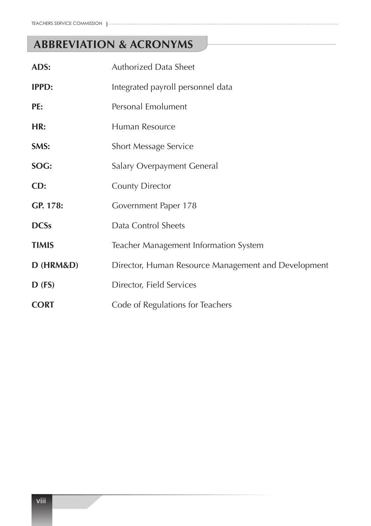## **ABBREVIATION & ACRONYMS**

| ADS:         | <b>Authorized Data Sheet</b>                        |
|--------------|-----------------------------------------------------|
| <b>IPPD:</b> | Integrated payroll personnel data                   |
| PE:          | Personal Emolument                                  |
| HR:          | Human Resource                                      |
| SMS:         | <b>Short Message Service</b>                        |
| SOG:         | Salary Overpayment General                          |
| CD:          | <b>County Director</b>                              |
| GP. 178:     | Government Paper 178                                |
| <b>DCSs</b>  | Data Control Sheets                                 |
| <b>TIMIS</b> | Teacher Management Information System               |
| D (HRM&D)    | Director, Human Resource Management and Development |
| $D$ (FS)     | Director, Field Services                            |
| <b>CORT</b>  | Code of Regulations for Teachers                    |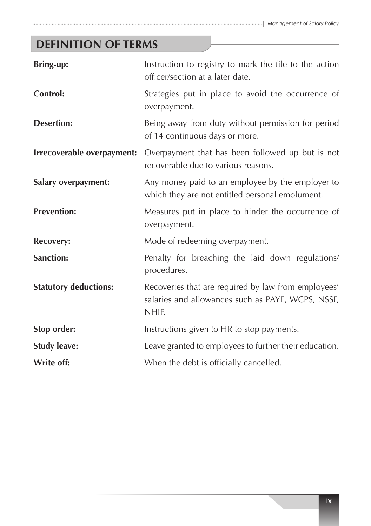# **DEFINITION OF TERMS**

| <b>Bring-up:</b>             | Instruction to registry to mark the file to the action<br>officer/section at a later date.                        |
|------------------------------|-------------------------------------------------------------------------------------------------------------------|
| <b>Control:</b>              | Strategies put in place to avoid the occurrence of<br>overpayment.                                                |
| <b>Desertion:</b>            | Being away from duty without permission for period<br>of 14 continuous days or more.                              |
| Irrecoverable overpayment:   | Overpayment that has been followed up but is not<br>recoverable due to various reasons.                           |
| <b>Salary overpayment:</b>   | Any money paid to an employee by the employer to<br>which they are not entitled personal emolument.               |
| <b>Prevention:</b>           | Measures put in place to hinder the occurrence of<br>overpayment.                                                 |
| <b>Recovery:</b>             | Mode of redeeming overpayment.                                                                                    |
| <b>Sanction:</b>             | Penalty for breaching the laid down regulations/<br>procedures.                                                   |
| <b>Statutory deductions:</b> | Recoveries that are required by law from employees'<br>salaries and allowances such as PAYE, WCPS, NSSF,<br>NHIF. |
| Stop order:                  | Instructions given to HR to stop payments.                                                                        |
| <b>Study leave:</b>          | Leave granted to employees to further their education.                                                            |
| Write off:                   | When the debt is officially cancelled.                                                                            |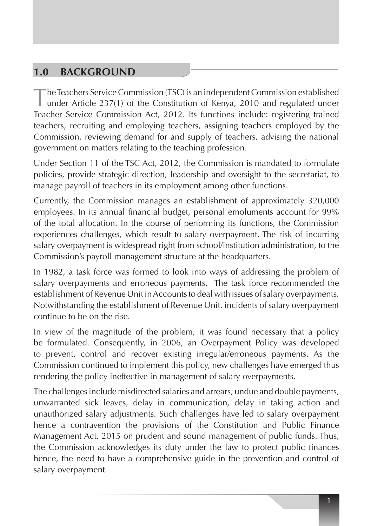### **1.0 BACKGROUND**

The Teachers Service Commission (TSC) is an independent Commission established under Article 237(1) of the Constitution of Kenya, 2010 and regulated under Teacher Service Commission Act, 2012. Its functions include: registering trained teachers, recruiting and employing teachers, assigning teachers employed by the Commission, reviewing demand for and supply of teachers, advising the national government on matters relating to the teaching profession.

Under Section 11 of the TSC Act, 2012, the Commission is mandated to formulate policies, provide strategic direction, leadership and oversight to the secretariat, to manage payroll of teachers in its employment among other functions.

Currently, the Commission manages an establishment of approximately 320,000 employees. In its annual financial budget, personal emoluments account for 99% of the total allocation. In the course of performing its functions, the Commission experiences challenges, which result to salary overpayment. The risk of incurring salary overpayment is widespread right from school/institution administration, to the Commission's payroll management structure at the headquarters.

In 1982, a task force was formed to look into ways of addressing the problem of salary overpayments and erroneous payments. The task force recommended the establishment of Revenue Unit in Accounts to deal with issues of salary overpayments. Notwithstanding the establishment of Revenue Unit, incidents of salary overpayment continue to be on the rise.

In view of the magnitude of the problem, it was found necessary that a policy be formulated. Consequently, in 2006, an Overpayment Policy was developed to prevent, control and recover existing irregular/erroneous payments. As the Commission continued to implement this policy, new challenges have emerged thus rendering the policy ineffective in management of salary overpayments.

The challenges include misdirected salaries and arrears, undue and double payments, unwarranted sick leaves, delay in communication, delay in taking action and unauthorized salary adjustments. Such challenges have led to salary overpayment hence a contravention the provisions of the Constitution and Public Finance Management Act, 2015 on prudent and sound management of public funds. Thus, the Commission acknowledges its duty under the law to protect public finances hence, the need to have a comprehensive guide in the prevention and control of salary overpayment.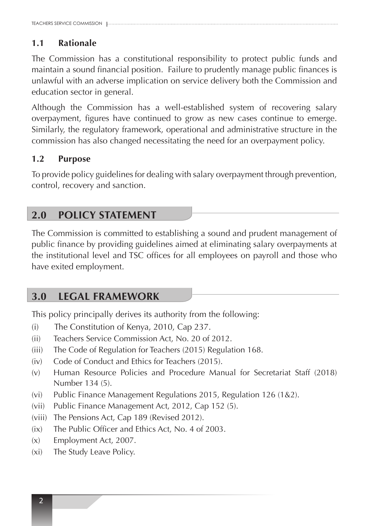### **1.1 Rationale**

The Commission has a constitutional responsibility to protect public funds and maintain a sound financial position. Failure to prudently manage public finances is unlawful with an adverse implication on service delivery both the Commission and education sector in general.

Although the Commission has a well-established system of recovering salary overpayment, figures have continued to grow as new cases continue to emerge. Similarly, the regulatory framework, operational and administrative structure in the commission has also changed necessitating the need for an overpayment policy.

#### **1.2 Purpose**

To provide policy guidelines for dealing with salary overpayment through prevention, control, recovery and sanction.

### **2.0 POLICY STATEMENT**

The Commission is committed to establishing a sound and prudent management of public finance by providing guidelines aimed at eliminating salary overpayments at the institutional level and TSC offices for all employees on payroll and those who have exited employment.

### **3.0 LEGAL FRAMEWORK**

This policy principally derives its authority from the following:

- (i) The Constitution of Kenya, 2010, Cap 237.
- (ii) Teachers Service Commission Act, No. 20 of 2012.
- (iii) The Code of Regulation for Teachers (2015) Regulation 168.
- (iv) Code of Conduct and Ethics for Teachers (2015).
- (v) Human Resource Policies and Procedure Manual for Secretariat Staff (2018) Number 134 (5).
- (vi) Public Finance Management Regulations 2015, Regulation 126 (1&2).
- (vii) Public Finance Management Act, 2012, Cap 152 (5).
- (viii) The Pensions Act, Cap 189 (Revised 2012).
- (ix) The Public Officer and Ethics Act, No. 4 of 2003.
- (x) Employment Act, 2007.
- (xi) The Study Leave Policy.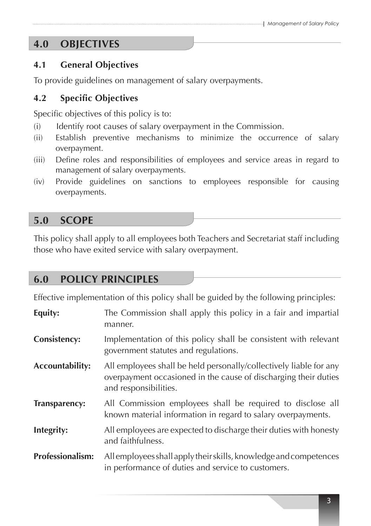### **4.0 OBJECTIVES**

### **4.1 General Objectives**

To provide guidelines on management of salary overpayments.

### **4.2 Specific Objectives**

Specific objectives of this policy is to:

- (i) Identify root causes of salary overpayment in the Commission.
- (ii) Establish preventive mechanisms to minimize the occurrence of salary overpayment.
- (iii) Define roles and responsibilities of employees and service areas in regard to management of salary overpayments.
- (iv) Provide guidelines on sanctions to employees responsible for causing overpayments.

### **5.0 SCOPE**

This policy shall apply to all employees both Teachers and Secretariat staff including those who have exited service with salary overpayment.

### **6.0 POLICY PRINCIPLES**

Effective implementation of this policy shall be guided by the following principles:

| Equity:                 | The Commission shall apply this policy in a fair and impartial<br>manner.                                                                                      |
|-------------------------|----------------------------------------------------------------------------------------------------------------------------------------------------------------|
| <b>Consistency:</b>     | Implementation of this policy shall be consistent with relevant<br>government statutes and regulations.                                                        |
| <b>Accountability:</b>  | All employees shall be held personally/collectively liable for any<br>overpayment occasioned in the cause of discharging their duties<br>and responsibilities. |
| Transparency:           | All Commission employees shall be required to disclose all<br>known material information in regard to salary overpayments.                                     |
| Integrity:              | All employees are expected to discharge their duties with honesty<br>and faithfulness.                                                                         |
| <b>Professionalism:</b> | All employees shall apply their skills, knowledge and competences<br>in performance of duties and service to customers.                                        |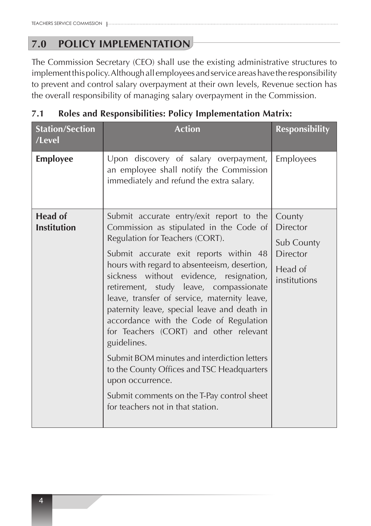### **7.0 POLICY IMPLEMENTATION**

The Commission Secretary (CEO) shall use the existing administrative structures to implement this policy. Although all employees and service areas have the responsibility to prevent and control salary overpayment at their own levels, Revenue section has the overall responsibility of managing salary overpayment in the Commission.

### **7.1 Roles and Responsibilities: Policy Implementation Matrix:**

| <b>Station/Section</b><br>/Level     | <b>Action</b>                                                                                                                                                                                                                                                                                                                                                                                                                                                                                                                                                                                                                                                                                               | <b>Responsibility</b>                                                                        |
|--------------------------------------|-------------------------------------------------------------------------------------------------------------------------------------------------------------------------------------------------------------------------------------------------------------------------------------------------------------------------------------------------------------------------------------------------------------------------------------------------------------------------------------------------------------------------------------------------------------------------------------------------------------------------------------------------------------------------------------------------------------|----------------------------------------------------------------------------------------------|
| <b>Employee</b>                      | Upon discovery of salary overpayment,<br>an employee shall notify the Commission<br>immediately and refund the extra salary.                                                                                                                                                                                                                                                                                                                                                                                                                                                                                                                                                                                | Employees                                                                                    |
| <b>Head of</b><br><b>Institution</b> | Submit accurate entry/exit report to the<br>Commission as stipulated in the Code of<br>Regulation for Teachers (CORT).<br>Submit accurate exit reports within 48<br>hours with regard to absenteeism, desertion,<br>sickness without evidence, resignation,<br>retirement, study leave, compassionate<br>leave, transfer of service, maternity leave,<br>paternity leave, special leave and death in<br>accordance with the Code of Regulation<br>for Teachers (CORT) and other relevant<br>guidelines.<br>Submit BOM minutes and interdiction letters<br>to the County Offices and TSC Headquarters<br>upon occurrence.<br>Submit comments on the T-Pay control sheet<br>for teachers not in that station. | County<br><b>Director</b><br><b>Sub County</b><br><b>Director</b><br>Head of<br>institutions |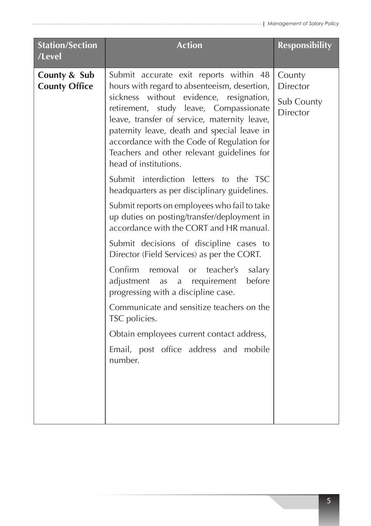| <b>Station/Section</b><br>/Level     | <b>Action</b>                                                                                                                                                                                                                                                                                                                                                                                                                                                                                                                                                                                                                                                                                                                                                                                                                                                                                                                                                                                                            | <b>Responsibility</b>                                      |
|--------------------------------------|--------------------------------------------------------------------------------------------------------------------------------------------------------------------------------------------------------------------------------------------------------------------------------------------------------------------------------------------------------------------------------------------------------------------------------------------------------------------------------------------------------------------------------------------------------------------------------------------------------------------------------------------------------------------------------------------------------------------------------------------------------------------------------------------------------------------------------------------------------------------------------------------------------------------------------------------------------------------------------------------------------------------------|------------------------------------------------------------|
| County & Sub<br><b>County Office</b> | Submit accurate exit reports within 48<br>hours with regard to absenteeism, desertion,<br>sickness without evidence, resignation,<br>retirement, study leave, Compassionate<br>leave, transfer of service, maternity leave,<br>paternity leave, death and special leave in<br>accordance with the Code of Regulation for<br>Teachers and other relevant guidelines for<br>head of institutions.<br>Submit interdiction letters to the TSC<br>headquarters as per disciplinary guidelines.<br>Submit reports on employees who fail to take<br>up duties on posting/transfer/deployment in<br>accordance with the CORT and HR manual.<br>Submit decisions of discipline cases to<br>Director (Field Services) as per the CORT.<br>Confirm removal or teacher's salary<br>before<br>adjustment<br>a requirement<br>as<br>progressing with a discipline case.<br>Communicate and sensitize teachers on the<br>TSC policies.<br>Obtain employees current contact address,<br>Email, post office address and mobile<br>number. | County<br><b>Director</b><br>Sub County<br><b>Director</b> |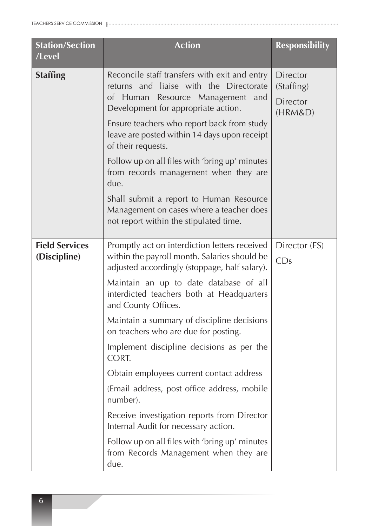| <b>Station/Section</b><br>/Level      | <b>Action</b>                                                                                                                                                                                                                                                                                                                                                                                                                                                                                                                                                                                                                                                                                             | <b>Responsibility</b>                                       |
|---------------------------------------|-----------------------------------------------------------------------------------------------------------------------------------------------------------------------------------------------------------------------------------------------------------------------------------------------------------------------------------------------------------------------------------------------------------------------------------------------------------------------------------------------------------------------------------------------------------------------------------------------------------------------------------------------------------------------------------------------------------|-------------------------------------------------------------|
| <b>Staffing</b>                       | Reconcile staff transfers with exit and entry<br>returns and liaise with the Directorate<br>of Human<br>Resource Management and<br>Development for appropriate action.<br>Ensure teachers who report back from study<br>leave are posted within 14 days upon receipt<br>of their requests.<br>Follow up on all files with 'bring up' minutes<br>from records management when they are<br>due.<br>Shall submit a report to Human Resource<br>Management on cases where a teacher does<br>not report within the stipulated time.                                                                                                                                                                            | <b>Director</b><br>(Staffing)<br><b>Director</b><br>(HRM&D) |
| <b>Field Services</b><br>(Discipline) | Promptly act on interdiction letters received<br>within the payroll month. Salaries should be<br>adjusted accordingly (stoppage, half salary).<br>Maintain an up to date database of all<br>interdicted teachers both at Headquarters<br>and County Offices.<br>Maintain a summary of discipline decisions<br>on teachers who are due for posting.<br>Implement discipline decisions as per the<br>CORT.<br>Obtain employees current contact address<br>(Email address, post office address, mobile<br>number).<br>Receive investigation reports from Director<br>Internal Audit for necessary action.<br>Follow up on all files with 'bring up' minutes<br>from Records Management when they are<br>due. | Director (FS)<br>CDs                                        |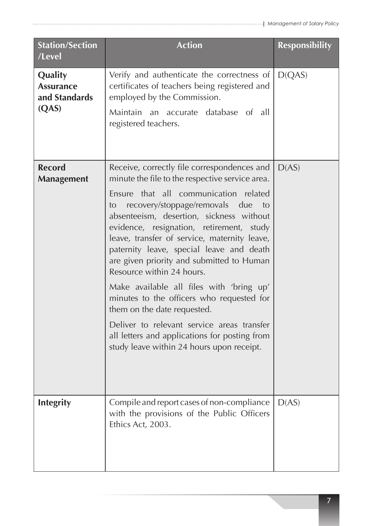| <b>Station/Section</b><br>/Level                      | <b>Action</b>                                                                                                                                                                                                                                                                                                                                                                                                                                                                                                                                                                                                                                                                                                              | <b>Responsibility</b> |
|-------------------------------------------------------|----------------------------------------------------------------------------------------------------------------------------------------------------------------------------------------------------------------------------------------------------------------------------------------------------------------------------------------------------------------------------------------------------------------------------------------------------------------------------------------------------------------------------------------------------------------------------------------------------------------------------------------------------------------------------------------------------------------------------|-----------------------|
| Quality<br><b>Assurance</b><br>and Standards<br>(QAS) | Verify and authenticate the correctness of<br>certificates of teachers being registered and<br>employed by the Commission.<br>Maintain an accurate database of all<br>registered teachers.                                                                                                                                                                                                                                                                                                                                                                                                                                                                                                                                 | D(QAS)                |
| <b>Record</b><br><b>Management</b>                    | Receive, correctly file correspondences and<br>minute the file to the respective service area.<br>Ensure that all<br>communication related<br>recovery/stoppage/removals due<br>to<br>to<br>absenteeism, desertion, sickness without<br>evidence, resignation, retirement, study<br>leave, transfer of service, maternity leave,<br>paternity leave, special leave and death<br>are given priority and submitted to Human<br>Resource within 24 hours.<br>Make available all files with 'bring up'<br>minutes to the officers who requested for<br>them on the date requested.<br>Deliver to relevant service areas transfer<br>all letters and applications for posting from<br>study leave within 24 hours upon receipt. | D(AS)                 |
| <b>Integrity</b>                                      | Compile and report cases of non-compliance<br>with the provisions of the Public Officers<br>Ethics Act, 2003.                                                                                                                                                                                                                                                                                                                                                                                                                                                                                                                                                                                                              | D(AS)                 |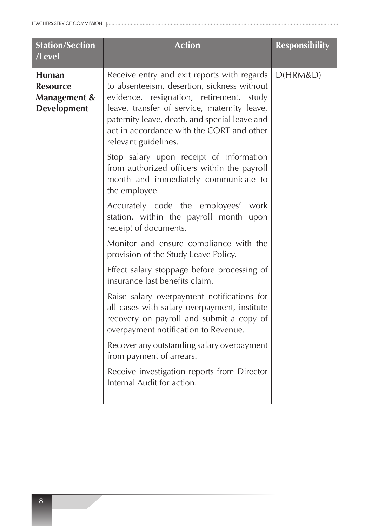| <b>Station/Section</b><br>/Level                                                 | <b>Action</b>                                                                                                                                                                                                                                                                                                   | <b>Responsibility</b> |
|----------------------------------------------------------------------------------|-----------------------------------------------------------------------------------------------------------------------------------------------------------------------------------------------------------------------------------------------------------------------------------------------------------------|-----------------------|
| <b>Human</b><br><b>Resource</b><br><b>Management &amp;</b><br><b>Development</b> | Receive entry and exit reports with regards<br>to absenteeism, desertion, sickness without<br>evidence, resignation, retirement,<br>study<br>leave, transfer of service, maternity leave,<br>paternity leave, death, and special leave and<br>act in accordance with the CORT and other<br>relevant guidelines. | D(HRM&D)              |
|                                                                                  | Stop salary upon receipt of information<br>from authorized officers within the payroll<br>month and immediately communicate to<br>the employee.                                                                                                                                                                 |                       |
|                                                                                  | Accurately code the employees' work<br>station, within the payroll month upon<br>receipt of documents.                                                                                                                                                                                                          |                       |
|                                                                                  | Monitor and ensure compliance with the<br>provision of the Study Leave Policy.                                                                                                                                                                                                                                  |                       |
|                                                                                  | Effect salary stoppage before processing of<br>insurance last benefits claim.                                                                                                                                                                                                                                   |                       |
|                                                                                  | Raise salary overpayment notifications for<br>all cases with salary overpayment, institute<br>recovery on payroll and submit a copy of<br>overpayment notification to Revenue.                                                                                                                                  |                       |
|                                                                                  | Recover any outstanding salary overpayment<br>from payment of arrears.                                                                                                                                                                                                                                          |                       |
|                                                                                  | Receive investigation reports from Director<br>Internal Audit for action.                                                                                                                                                                                                                                       |                       |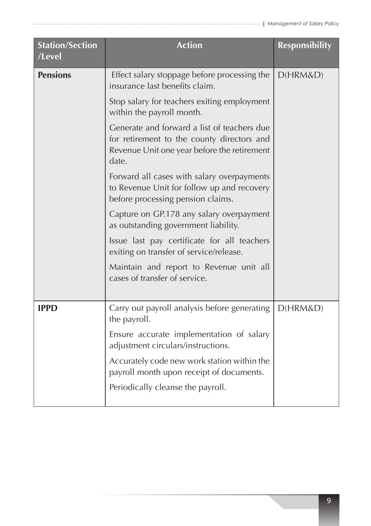| <b>Station/Section</b><br>/Level | <b>Action</b>                                                                                                                                     | <b>Responsibility</b> |
|----------------------------------|---------------------------------------------------------------------------------------------------------------------------------------------------|-----------------------|
| <b>Pensions</b>                  | Effect salary stoppage before processing the<br>insurance last benefits claim.                                                                    | D(HRM&D)              |
|                                  | Stop salary for teachers exiting employment<br>within the payroll month.                                                                          |                       |
|                                  | Generate and forward a list of teachers due<br>for retirement to the county directors and<br>Revenue Unit one year before the retirement<br>date. |                       |
|                                  | Forward all cases with salary overpayments<br>to Revenue Unit for follow up and recovery<br>before processing pension claims.                     |                       |
|                                  | Capture on GP.178 any salary overpayment<br>as outstanding government liability.                                                                  |                       |
|                                  | Issue last pay certificate for all teachers<br>exiting on transfer of service/release.                                                            |                       |
|                                  | Maintain and report to Revenue unit all<br>cases of transfer of service.                                                                          |                       |
| <b>IPPD</b>                      | Carry out payroll analysis before generating<br>the payroll.                                                                                      | D(HRM&D)              |
|                                  | Ensure accurate implementation of salary<br>adjustment circulars/instructions.                                                                    |                       |
|                                  | Accurately code new work station within the<br>payroll month upon receipt of documents.                                                           |                       |
|                                  | Periodically cleanse the payroll.                                                                                                                 |                       |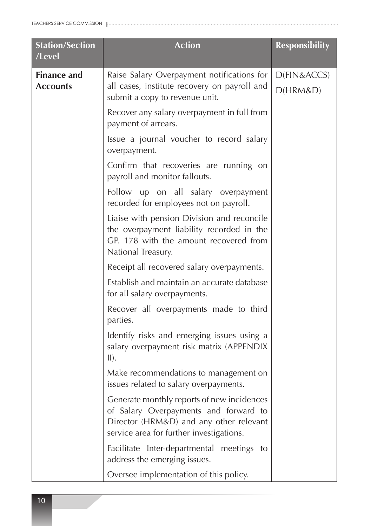| <b>Station/Section</b><br>/Level      | <b>Action</b>                                                                                                                                                              | <b>Responsibility</b>   |
|---------------------------------------|----------------------------------------------------------------------------------------------------------------------------------------------------------------------------|-------------------------|
| <b>Finance and</b><br><b>Accounts</b> | Raise Salary Overpayment notifications for<br>all cases, institute recovery on payroll and<br>submit a copy to revenue unit.                                               | D(FIN&ACCS)<br>D(HRM&D) |
|                                       | Recover any salary overpayment in full from<br>payment of arrears.                                                                                                         |                         |
|                                       | Issue a journal voucher to record salary<br>overpayment.                                                                                                                   |                         |
|                                       | Confirm that recoveries are running on<br>payroll and monitor fallouts.                                                                                                    |                         |
|                                       | Follow up on all salary overpayment<br>recorded for employees not on payroll.                                                                                              |                         |
|                                       | Liaise with pension Division and reconcile<br>the overpayment liability recorded in the<br>GP. 178 with the amount recovered from<br>National Treasury.                    |                         |
|                                       | Receipt all recovered salary overpayments.                                                                                                                                 |                         |
|                                       | Establish and maintain an accurate database<br>for all salary overpayments.                                                                                                |                         |
|                                       | Recover all overpayments made to third<br>parties.                                                                                                                         |                         |
|                                       | Identify risks and emerging issues using a<br>salary overpayment risk matrix (APPENDIX<br>$II$ ).                                                                          |                         |
|                                       | Make recommendations to management on<br>issues related to salary overpayments.                                                                                            |                         |
|                                       | Generate monthly reports of new incidences<br>of Salary Overpayments and forward to<br>Director (HRM&D) and any other relevant<br>service area for further investigations. |                         |
|                                       | Facilitate Inter-departmental meetings to<br>address the emerging issues.                                                                                                  |                         |
|                                       | Oversee implementation of this policy.                                                                                                                                     |                         |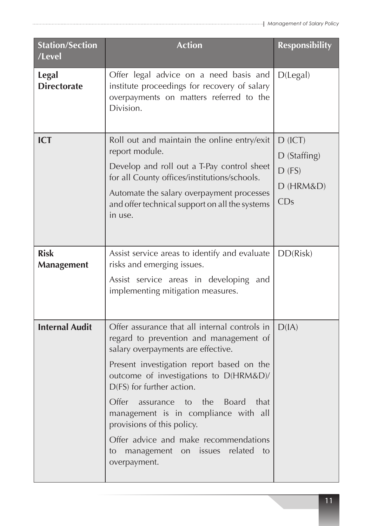| <b>Station/Section</b><br>/Level   | <b>Action</b>                                                                                                                                                                                                                                                                                                                                                                                                                                                                           | <b>Responsibility</b>                                         |
|------------------------------------|-----------------------------------------------------------------------------------------------------------------------------------------------------------------------------------------------------------------------------------------------------------------------------------------------------------------------------------------------------------------------------------------------------------------------------------------------------------------------------------------|---------------------------------------------------------------|
| <b>Legal</b><br><b>Directorate</b> | Offer legal advice on a need basis and<br>institute proceedings for recovery of salary<br>overpayments on matters referred to the<br>Division.                                                                                                                                                                                                                                                                                                                                          | D(legal)                                                      |
| <b>ICT</b>                         | Roll out and maintain the online entry/exit<br>report module.<br>Develop and roll out a T-Pay control sheet<br>for all County offices/institutions/schools.<br>Automate the salary overpayment processes<br>and offer technical support on all the systems<br>in use.                                                                                                                                                                                                                   | $D$ (ICT)<br>$D$ (Staffing)<br>$D$ (FS)<br>$D$ (HRM&D)<br>CDs |
| <b>Risk</b><br><b>Management</b>   | Assist service areas to identify and evaluate<br>risks and emerging issues.<br>Assist service areas in developing and<br>implementing mitigation measures.                                                                                                                                                                                                                                                                                                                              | DD(Risk)                                                      |
| <b>Internal Audit</b>              | Offer assurance that all internal controls in<br>regard to prevention and management of<br>salary overpayments are effective.<br>Present investigation report based on the<br>outcome of investigations to D(HRM&D)/<br>D(FS) for further action.<br>Offer<br>the<br><b>Board</b><br>that<br>assurance<br>to<br>management is in compliance with all<br>provisions of this policy.<br>Offer advice and make recommendations<br>management on issues related<br>to<br>to<br>overpayment. | D(IA)                                                         |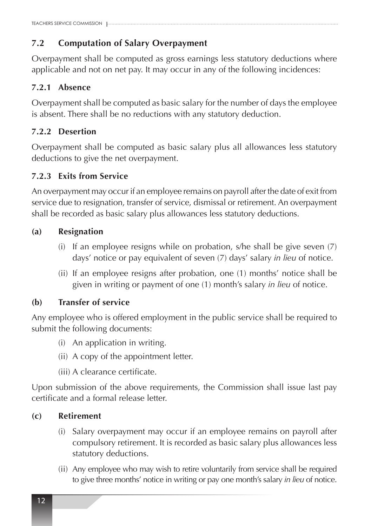### **7.2 Computation of Salary Overpayment**

Overpayment shall be computed as gross earnings less statutory deductions where applicable and not on net pay. It may occur in any of the following incidences:

#### **7.2.1 Absence**

Overpayment shall be computed as basic salary for the number of days the employee is absent. There shall be no reductions with any statutory deduction.

### **7.2.2 Desertion**

Overpayment shall be computed as basic salary plus all allowances less statutory deductions to give the net overpayment.

### **7.2.3 Exits from Service**

An overpayment may occur if an employee remains on payroll after the date of exit from service due to resignation, transfer of service, dismissal or retirement. An overpayment shall be recorded as basic salary plus allowances less statutory deductions.

#### **(a) Resignation**

- (i) If an employee resigns while on probation, s/he shall be give seven  $(7)$ days' notice or pay equivalent of seven (7) days' salary *in lieu* of notice.
- (ii) If an employee resigns after probation, one (1) months' notice shall be given in writing or payment of one (1) month's salary *in lieu* of notice.

### **(b) Transfer of service**

Any employee who is offered employment in the public service shall be required to submit the following documents:

- (i) An application in writing.
- (ii) A copy of the appointment letter.
- (iii) A clearance certificate.

Upon submission of the above requirements, the Commission shall issue last pay certificate and a formal release letter.

### **(c) Retirement**

- (i) Salary overpayment may occur if an employee remains on payroll after compulsory retirement. It is recorded as basic salary plus allowances less statutory deductions.
- (ii) Any employee who may wish to retire voluntarily from service shall be required to give three months' notice in writing or pay one month's salary *in lieu* of notice.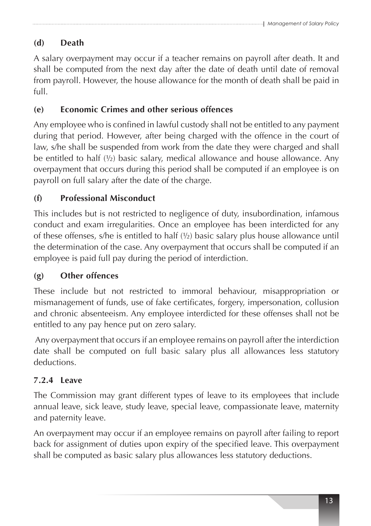### **(d) Death**

A salary overpayment may occur if a teacher remains on payroll after death. It and shall be computed from the next day after the date of death until date of removal from payroll. However, the house allowance for the month of death shall be paid in full.

### **(e) Economic Crimes and other serious offences**

Any employee who is confined in lawful custody shall not be entitled to any payment during that period. However, after being charged with the offence in the court of law, s/he shall be suspended from work from the date they were charged and shall be entitled to half (½) basic salary, medical allowance and house allowance. Any overpayment that occurs during this period shall be computed if an employee is on payroll on full salary after the date of the charge.

### **(f) Professional Misconduct**

This includes but is not restricted to negligence of duty, insubordination, infamous conduct and exam irregularities. Once an employee has been interdicted for any of these offenses, s/he is entitled to half (½) basic salary plus house allowance until the determination of the case. Any overpayment that occurs shall be computed if an employee is paid full pay during the period of interdiction.

### **(g) Other offences**

These include but not restricted to immoral behaviour, misappropriation or mismanagement of funds, use of fake certificates, forgery, impersonation, collusion and chronic absenteeism. Any employee interdicted for these offenses shall not be entitled to any pay hence put on zero salary.

 Any overpayment that occurs if an employee remains on payroll after the interdiction date shall be computed on full basic salary plus all allowances less statutory deductions.

### **7.2.4 Leave**

The Commission may grant different types of leave to its employees that include annual leave, sick leave, study leave, special leave, compassionate leave, maternity and paternity leave.

An overpayment may occur if an employee remains on payroll after failing to report back for assignment of duties upon expiry of the specified leave. This overpayment shall be computed as basic salary plus allowances less statutory deductions.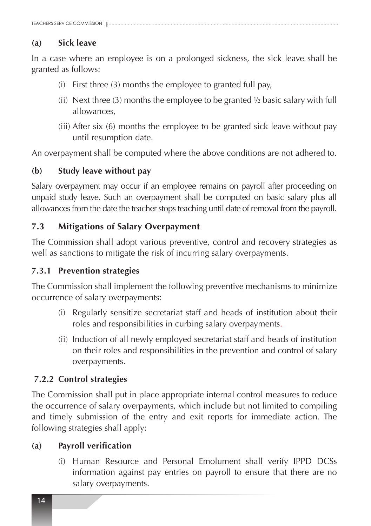#### **(a) Sick leave**

In a case where an employee is on a prolonged sickness, the sick leave shall be granted as follows:

- (i) First three  $(3)$  months the employee to granted full pay,
- (ii) Next three (3) months the employee to be granted  $\frac{1}{2}$  basic salary with full allowances,
- (iii) After six (6) months the employee to be granted sick leave without pay until resumption date.

An overpayment shall be computed where the above conditions are not adhered to.

#### **(b) Study leave without pay**

Salary overpayment may occur if an employee remains on payroll after proceeding on unpaid study leave. Such an overpayment shall be computed on basic salary plus all allowances from the date the teacher stops teaching until date of removal from the payroll.

#### **7.3 Mitigations of Salary Overpayment**

The Commission shall adopt various preventive, control and recovery strategies as well as sanctions to mitigate the risk of incurring salary overpayments.

#### **7.3.1 Prevention strategies**

The Commission shall implement the following preventive mechanisms to minimize occurrence of salary overpayments:

- (i) Regularly sensitize secretariat staff and heads of institution about their roles and responsibilities in curbing salary overpayments.
- (ii) Induction of all newly employed secretariat staff and heads of institution on their roles and responsibilities in the prevention and control of salary overpayments.

#### **7.2.2 Control strategies**

The Commission shall put in place appropriate internal control measures to reduce the occurrence of salary overpayments, which include but not limited to compiling and timely submission of the entry and exit reports for immediate action. The following strategies shall apply:

#### **(a) Payroll verification**

(i) Human Resource and Personal Emolument shall verify IPPD DCSs information against pay entries on payroll to ensure that there are no salary overpayments.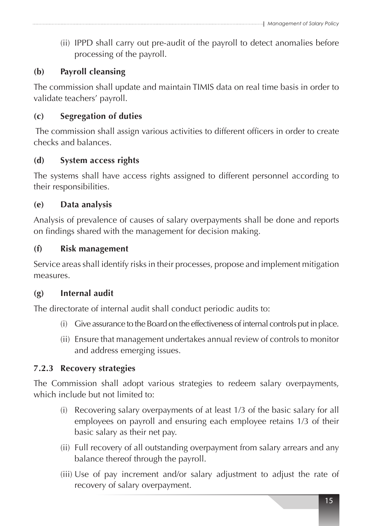(ii) IPPD shall carry out pre-audit of the payroll to detect anomalies before processing of the payroll.

### **(b) Payroll cleansing**

The commission shall update and maintain TIMIS data on real time basis in order to validate teachers' payroll.

#### **(c) Segregation of duties**

The commission shall assign various activities to different officers in order to create checks and balances.

#### **(d) System access rights**

The systems shall have access rights assigned to different personnel according to their responsibilities.

#### **(e) Data analysis**

Analysis of prevalence of causes of salary overpayments shall be done and reports on findings shared with the management for decision making.

#### **(f) Risk management**

Service areas shall identify risks in their processes, propose and implement mitigation measures.

#### **(g) Internal audit**

The directorate of internal audit shall conduct periodic audits to:

- (i) Give assurance to the Board on the effectiveness of internal controls put in place.
- (ii) Ensure that management undertakes annual review of controls to monitor and address emerging issues.

#### **7.2.3 Recovery strategies**

The Commission shall adopt various strategies to redeem salary overpayments, which include but not limited to:

- (i) Recovering salary overpayments of at least  $1/3$  of the basic salary for all employees on payroll and ensuring each employee retains 1/3 of their basic salary as their net pay.
- (ii) Full recovery of all outstanding overpayment from salary arrears and any balance thereof through the payroll.
- (iii) Use of pay increment and/or salary adjustment to adjust the rate of recovery of salary overpayment.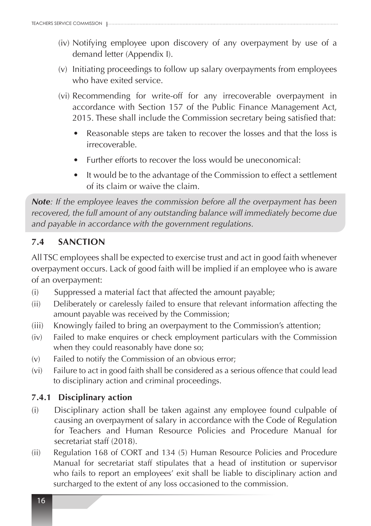- (iv) Notifying employee upon discovery of any overpayment by use of a demand letter (Appendix I).
- (v) Initiating proceedings to follow up salary overpayments from employees who have exited service.
- (vi) Recommending for write-off for any irrecoverable overpayment in accordance with Section 157 of the Public Finance Management Act, 2015. These shall include the Commission secretary being satisfied that:
	- Reasonable steps are taken to recover the losses and that the loss is irrecoverable.
	- Further efforts to recover the loss would be uneconomical:
	- It would be to the advantage of the Commission to effect a settlement of its claim or waive the claim.

*Note: If the employee leaves the commission before all the overpayment has been recovered, the full amount of any outstanding balance will immediately become due and payable in accordance with the government regulations.* 

### **7.4 SANCTION**

All TSC employees shall be expected to exercise trust and act in good faith whenever overpayment occurs. Lack of good faith will be implied if an employee who is aware of an overpayment:

- (i) Suppressed a material fact that affected the amount payable;
- (ii) Deliberately or carelessly failed to ensure that relevant information affecting the amount payable was received by the Commission;
- (iii) Knowingly failed to bring an overpayment to the Commission's attention;
- (iv) Failed to make enquires or check employment particulars with the Commission when they could reasonably have done so;
- (v) Failed to notify the Commission of an obvious error;
- (vi) Failure to act in good faith shall be considered as a serious offence that could lead to disciplinary action and criminal proceedings.

### **7.4.1 Disciplinary action**

- (i) Disciplinary action shall be taken against any employee found culpable of causing an overpayment of salary in accordance with the Code of Regulation for Teachers and Human Resource Policies and Procedure Manual for secretariat staff (2018).
- (ii) Regulation 168 of CORT and 134 (5) Human Resource Policies and Procedure Manual for secretariat staff stipulates that a head of institution or supervisor who fails to report an employees' exit shall be liable to disciplinary action and surcharged to the extent of any loss occasioned to the commission.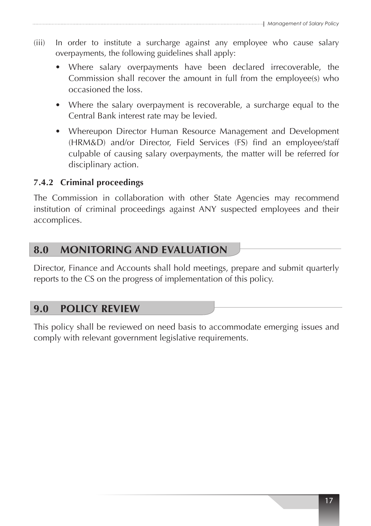- (iii) In order to institute a surcharge against any employee who cause salary overpayments, the following guidelines shall apply:
	- Where salary overpayments have been declared irrecoverable, the Commission shall recover the amount in full from the employee(s) who occasioned the loss.
	- Where the salary overpayment is recoverable, a surcharge equal to the Central Bank interest rate may be levied.
	- Whereupon Director Human Resource Management and Development (HRM&D) and/or Director, Field Services (FS) find an employee/staff culpable of causing salary overpayments, the matter will be referred for disciplinary action.

### **7.4.2 Criminal proceedings**

The Commission in collaboration with other State Agencies may recommend institution of criminal proceedings against ANY suspected employees and their accomplices.

### **8.0 MONITORING AND EVALUATION**

Director, Finance and Accounts shall hold meetings, prepare and submit quarterly reports to the CS on the progress of implementation of this policy.

### **9.0 POLICY REVIEW**

This policy shall be reviewed on need basis to accommodate emerging issues and comply with relevant government legislative requirements.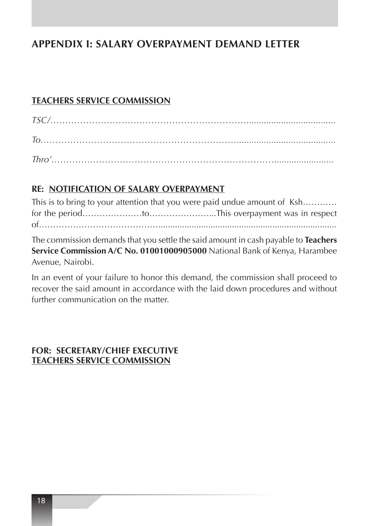### **APPENDIX I: SALARY OVERPAYMENT DEMAND LETTER**

#### **TEACHERS SERVICE COMMISSION**

|  |  |  |  | $\begin{minipage}{0.9\linewidth} \textit{TSC}/ \textit{100} \end{minipage}$ |  |
|--|--|--|--|-----------------------------------------------------------------------------|--|
|  |  |  |  |                                                                             |  |
|  |  |  |  |                                                                             |  |

### **RE: NOTIFICATION OF SALARY OVERPAYMENT**

|  | This is to bring to your attention that you were paid undue amount of Ksh |
|--|---------------------------------------------------------------------------|
|  |                                                                           |
|  |                                                                           |

The commission demands that you settle the said amount in cash payable to **Teachers Service Commission A/C No. 01001000905000** National Bank of Kenya, Harambee Avenue, Nairobi.

In an event of your failure to honor this demand, the commission shall proceed to recover the said amount in accordance with the laid down procedures and without further communication on the matter.

#### **FOR: SECRETARY/CHIEF EXECUTIVE TEACHERS SERVICE COMMISSION**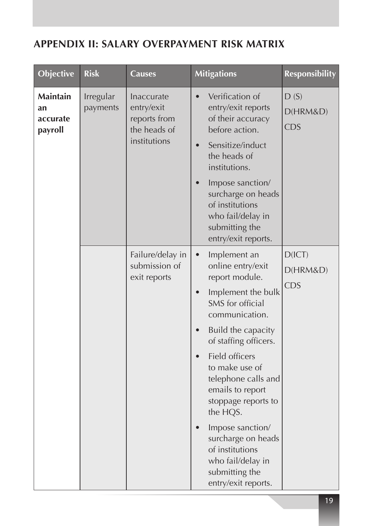### **APPENDIX II: SALARY OVERPAYMENT RISK MATRIX**

| <b>Maintain</b><br>Irregular<br>Verification of<br>D(S)<br>Inaccurate<br>$\bullet$<br>entry/exit reports<br>entry/exit<br>payments<br>an<br>D(HRM&D)<br>of their accuracy<br>reports from<br>accurate<br><b>CDS</b><br>the heads of<br>before action.<br>payroll<br>institutions<br>Sensitize/induct<br>the heads of<br>institutions.<br>Impose sanction/<br>$\bullet$<br>surcharge on heads<br>of institutions<br>who fail/delay in<br>submitting the<br>entry/exit reports.<br>D(ICT)<br>Failure/delay in<br>Implement an<br>$\bullet$<br>submission of<br>online entry/exit<br>D(HRM&D) |  |
|--------------------------------------------------------------------------------------------------------------------------------------------------------------------------------------------------------------------------------------------------------------------------------------------------------------------------------------------------------------------------------------------------------------------------------------------------------------------------------------------------------------------------------------------------------------------------------------------|--|
|                                                                                                                                                                                                                                                                                                                                                                                                                                                                                                                                                                                            |  |
| report module.<br>exit reports<br><b>CDS</b><br>Implement the bulk<br>$\bullet$<br>SMS for official<br>communication.<br>Build the capacity<br>of staffing officers.<br>Field officers<br>$\bullet$<br>to make use of<br>telephone calls and<br>emails to report<br>stoppage reports to<br>the HQS.<br>Impose sanction/<br>surcharge on heads<br>of institutions                                                                                                                                                                                                                           |  |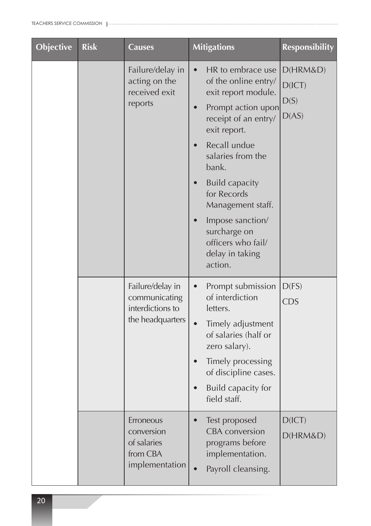| <b>Objective</b> | <b>Risk</b> | <b>Causes</b>                                                             | <b>Mitigations</b>                                                                                                                                                                                                                                                                                                                             | <b>Responsibility</b>               |
|------------------|-------------|---------------------------------------------------------------------------|------------------------------------------------------------------------------------------------------------------------------------------------------------------------------------------------------------------------------------------------------------------------------------------------------------------------------------------------|-------------------------------------|
|                  |             | Failure/delay in<br>acting on the<br>received exit<br>reports             | HR to embrace use<br>$\bullet$<br>of the online entry/<br>exit report module.<br>Prompt action upon<br>receipt of an entry/<br>exit report.<br>Recall undue<br>salaries from the<br>bank.<br><b>Build capacity</b><br>for Records<br>Management staff.<br>Impose sanction/<br>surcharge on<br>officers who fail/<br>delay in taking<br>action. | D(HRM&D)<br>D(ICT)<br>D(S)<br>D(AS) |
|                  |             | Failure/delay in<br>communicating<br>interdictions to<br>the headquarters | Prompt submission<br>of interdiction<br>letters.<br>Timely adjustment<br>of salaries (half or<br>zero salary).<br>Timely processing<br>of discipline cases.<br>Build capacity for<br>field staff.                                                                                                                                              | D(FS)<br><b>CDS</b>                 |
|                  |             | Erroneous<br>conversion<br>of salaries<br>from CBA<br>implementation      | Test proposed<br><b>CBA</b> conversion<br>programs before<br>implementation.<br>Payroll cleansing.                                                                                                                                                                                                                                             | D(ICT)<br>D(HRM&D)                  |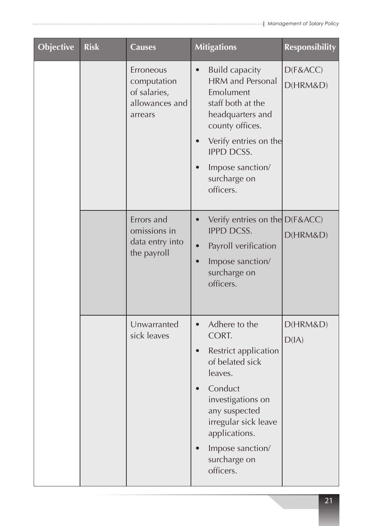| <b>Objective</b> | <b>Risk</b> | <b>Causes</b>                                                         | <b>Mitigations</b>                                                                                                                                                                                                                                | <b>Responsibility</b> |
|------------------|-------------|-----------------------------------------------------------------------|---------------------------------------------------------------------------------------------------------------------------------------------------------------------------------------------------------------------------------------------------|-----------------------|
|                  |             | Erroneous<br>computation<br>of salaries,<br>allowances and<br>arrears | <b>Build capacity</b><br>$\bullet$<br><b>HRM</b> and Personal<br>Emolument<br>staff both at the<br>headquarters and<br>county offices.<br>Verify entries on the<br><b>IPPD DCSS.</b><br>Impose sanction/<br>surcharge on<br>officers.             | D(F&ACC)<br>D(HRM&D)  |
|                  |             | Errors and<br>omissions in<br>data entry into<br>the payroll          | Verify entries on the D(F&ACC)<br>$\bullet$<br><b>IPPD DCSS.</b><br>Payroll verification<br>$\bullet$<br>Impose sanction/<br>$\bullet$<br>surcharge on<br>officers.                                                                               | D(HRM&D)              |
|                  |             | Unwarranted<br>sick leaves                                            | Adhere to the<br>$\bullet$<br>CORT.<br>Restrict application<br>$\bullet$<br>of belated sick<br>leaves.<br>Conduct<br>investigations on<br>any suspected<br>irregular sick leave<br>applications.<br>Impose sanction/<br>surcharge on<br>officers. | D(HRM&D)<br>D(IA)     |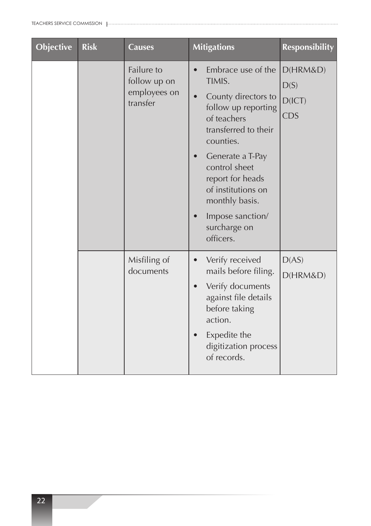| <b>Objective</b> | <b>Risk</b> | <b>Causes</b>                                          | <b>Mitigations</b>                                                                                                                                                                                                                                                                            | <b>Responsibility</b>                    |
|------------------|-------------|--------------------------------------------------------|-----------------------------------------------------------------------------------------------------------------------------------------------------------------------------------------------------------------------------------------------------------------------------------------------|------------------------------------------|
|                  |             | Failure to<br>follow up on<br>employees on<br>transfer | Embrace use of the<br>TIMIS.<br>County directors to<br>$\bullet$<br>follow up reporting<br>of teachers<br>transferred to their<br>counties.<br>Generate a T-Pay<br>control sheet<br>report for heads<br>of institutions on<br>monthly basis.<br>Impose sanction/<br>surcharge on<br>officers. | D(HRM&D)<br>D(S)<br>D(ICT)<br><b>CDS</b> |
|                  |             | Misfiling of<br>documents                              | Verify received<br>mails before filing.<br>Verify documents<br>against file details<br>before taking<br>action.<br>Expedite the<br>digitization process<br>of records.                                                                                                                        | D(AS)<br>D(HRM&D)                        |